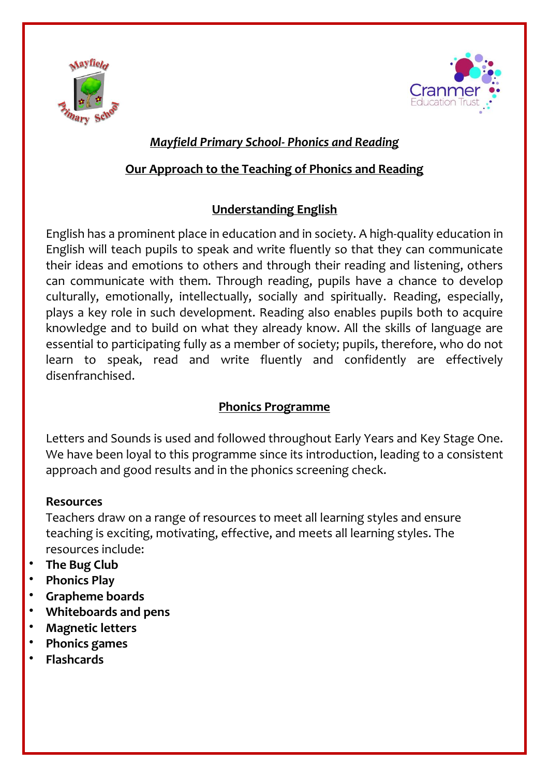



### *Mayfield Primary School- Phonics and Reading*

### **Our Approach to the Teaching of Phonics and Reading**

# **Understanding English**

English has a prominent place in education and in society. A high-quality education in English will teach pupils to speak and write fluently so that they can communicate their ideas and emotions to others and through their reading and listening, others can communicate with them. Through reading, pupils have a chance to develop culturally, emotionally, intellectually, socially and spiritually. Reading, especially, plays a key role in such development. Reading also enables pupils both to acquire knowledge and to build on what they already know. All the skills of language are essential to participating fully as a member of society; pupils, therefore, who do not learn to speak, read and write fluently and confidently are effectively disenfranchised.

# **Phonics Programme**

Letters and Sounds is used and followed throughout Early Years and Key Stage One. We have been loyal to this programme since its introduction, leading to a consistent approach and good results and in the phonics screening check.

#### **Resources**

Teachers draw on a range of resources to meet all learning styles and ensure teaching is exciting, motivating, effective, and meets all learning styles. The resources include:

- **The Bug Club**
- **Phonics Play**
- **Grapheme boards**
- **Whiteboards and pens**
- **Magnetic letters**
- **Phonics games**
- **Flashcards**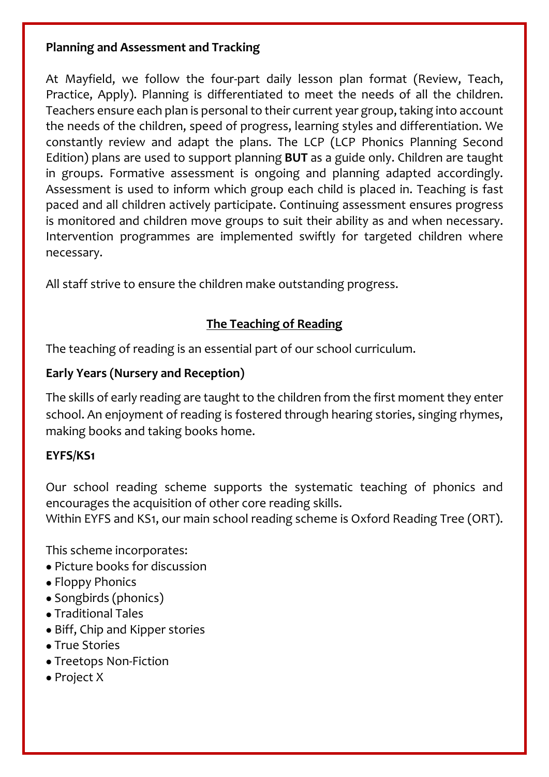### **Planning and Assessment and Tracking**

At Mayfield, we follow the four-part daily lesson plan format (Review, Teach, Practice, Apply). Planning is differentiated to meet the needs of all the children. Teachers ensure each plan is personal to their current year group, taking into account the needs of the children, speed of progress, learning styles and differentiation. We constantly review and adapt the plans. The LCP (LCP Phonics Planning Second Edition) plans are used to support planning **BUT** as a guide only. Children are taught in groups. Formative assessment is ongoing and planning adapted accordingly. Assessment is used to inform which group each child is placed in. Teaching is fast paced and all children actively participate. Continuing assessment ensures progress is monitored and children move groups to suit their ability as and when necessary. Intervention programmes are implemented swiftly for targeted children where necessary.

All staff strive to ensure the children make outstanding progress.

# **The Teaching of Reading**

The teaching of reading is an essential part of our school curriculum.

### **Early Years (Nursery and Reception)**

The skills of early reading are taught to the children from the first moment they enter school. An enjoyment of reading is fostered through hearing stories, singing rhymes, making books and taking books home.

# **EYFS/KS1**

Our school reading scheme supports the systematic teaching of phonics and encourages the acquisition of other core reading skills. Within EYFS and KS1, our main school reading scheme is Oxford Reading Tree (ORT).

This scheme incorporates:

- Picture books for discussion
- Floppy Phonics
- Songbirds (phonics)
- Traditional Tales
- Biff, Chip and Kipper stories
- True Stories
- Treetops Non-Fiction
- Project X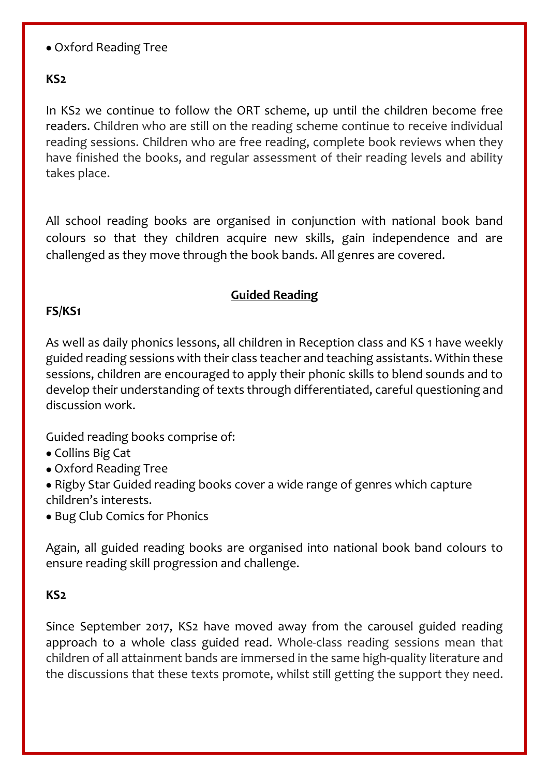### • Oxford Reading Tree

### **KS2**

In KS2 we continue to follow the ORT scheme, up until the children become free readers. Children who are still on the reading scheme continue to receive individual reading sessions. Children who are free reading, complete book reviews when they have finished the books, and regular assessment of their reading levels and ability takes place.

All school reading books are organised in conjunction with national book band colours so that they children acquire new skills, gain independence and are challenged as they move through the book bands. All genres are covered.

#### **Guided Reading**

#### **FS/KS1**

As well as daily phonics lessons, all children in Reception class and KS 1 have weekly guided reading sessions with their class teacher and teaching assistants. Within these sessions, children are encouraged to apply their phonic skills to blend sounds and to develop their understanding of texts through differentiated, careful questioning and discussion work.

Guided reading books comprise of:

- Collins Big Cat
- Oxford Reading Tree
- Rigby Star Guided reading books cover a wide range of genres which capture children's interests.
- Bug Club Comics for Phonics

Again, all guided reading books are organised into national book band colours to ensure reading skill progression and challenge.

#### **KS2**

Since September 2017, KS2 have moved away from the carousel guided reading approach to a whole class guided read. Whole-class reading sessions mean that children of all attainment bands are immersed in the same high-quality literature and the discussions that these texts promote, whilst still getting the support they need.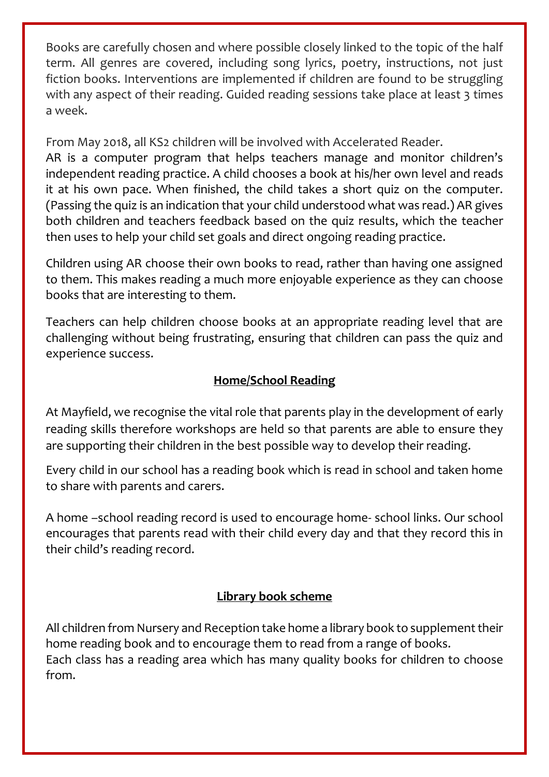Books are carefully chosen and where possible closely linked to the topic of the half term. All genres are covered, including song lyrics, poetry, instructions, not just fiction books. Interventions are implemented if children are found to be struggling with any aspect of their reading. Guided reading sessions take place at least 3 times a week.

From May 2018, all KS2 children will be involved with Accelerated Reader.

AR is a computer program that helps teachers manage and monitor children's independent reading practice. A child chooses a book at his/her own level and reads it at his own pace. When finished, the child takes a short quiz on the computer. (Passing the quiz is an indication that your child understood what was read.) AR gives both children and teachers feedback based on the quiz results, which the teacher then uses to help your child set goals and direct ongoing reading practice.

Children using AR choose their own books to read, rather than having one assigned to them. This makes reading a much more enjoyable experience as they can choose books that are interesting to them.

Teachers can help children choose books at an appropriate reading level that are challenging without being frustrating, ensuring that children can pass the quiz and experience success.

### **Home/School Reading**

At Mayfield, we recognise the vital role that parents play in the development of early reading skills therefore workshops are held so that parents are able to ensure they are supporting their children in the best possible way to develop their reading.

Every child in our school has a reading book which is read in school and taken home to share with parents and carers.

A home –school reading record is used to encourage home- school links. Our school encourages that parents read with their child every day and that they record this in their child's reading record.

# **Library book scheme**

All children from Nursery and Reception take home a library book to supplement their home reading book and to encourage them to read from a range of books. Each class has a reading area which has many quality books for children to choose from.